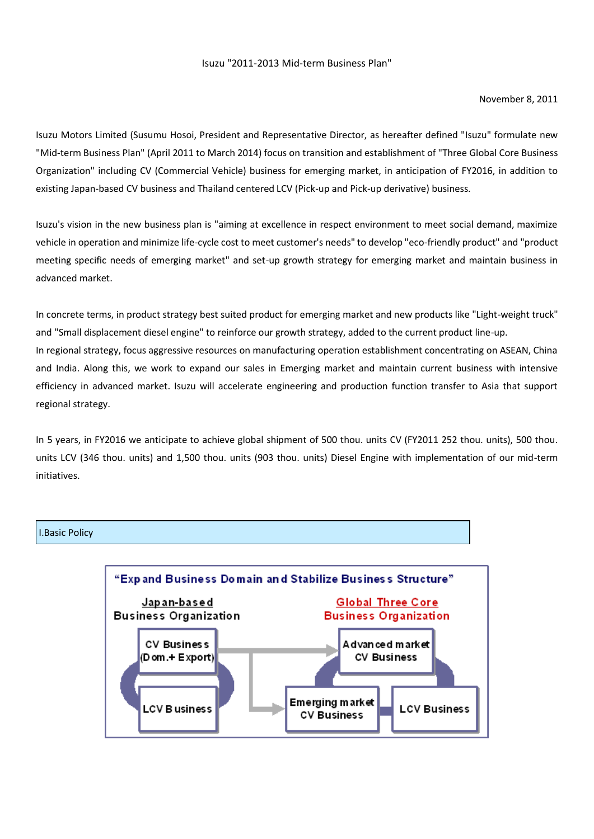# Isuzu "2011-2013 Mid-term Business Plan"

## November 8, 2011

Isuzu Motors Limited (Susumu Hosoi, President and Representative Director, as hereafter defined "Isuzu" formulate new "Mid-term Business Plan" (April 2011 to March 2014) focus on transition and establishment of "Three Global Core Business Organization" including CV (Commercial Vehicle) business for emerging market, in anticipation of FY2016, in addition to existing Japan-based CV business and Thailand centered LCV (Pick-up and Pick-up derivative) business.

Isuzu's vision in the new business plan is "aiming at excellence in respect environment to meet social demand, maximize vehicle in operation and minimize life-cycle cost to meet customer's needs" to develop "eco-friendly product" and "product meeting specific needs of emerging market" and set-up growth strategy for emerging market and maintain business in advanced market.

In concrete terms, in product strategy best suited product for emerging market and new products like "Light-weight truck" and "Small displacement diesel engine" to reinforce our growth strategy, added to the current product line-up. In regional strategy, focus aggressive resources on manufacturing operation establishment concentrating on ASEAN, China and India. Along this, we work to expand our sales in Emerging market and maintain current business with intensive efficiency in advanced market. Isuzu will accelerate engineering and production function transfer to Asia that support regional strategy.

In 5 years, in FY2016 we anticipate to achieve global shipment of 500 thou. units CV (FY2011 252 thou. units), 500 thou. units LCV (346 thou. units) and 1,500 thou. units (903 thou. units) Diesel Engine with implementation of our mid-term initiatives.

### I.Basic Policy

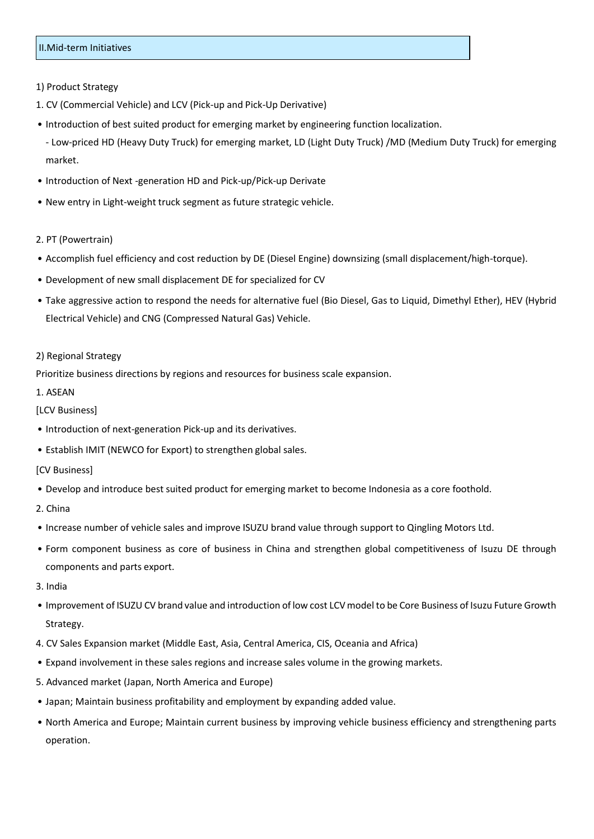# II.Mid-term Initiatives

## 1) Product Strategy

- 1. CV (Commercial Vehicle) and LCV (Pick-up and Pick-Up Derivative)
- Introduction of best suited product for emerging market by engineering function localization.
	- Low-priced HD (Heavy Duty Truck) for emerging market, LD (Light Duty Truck) /MD (Medium Duty Truck) for emerging market.
- Introduction of Next -generation HD and Pick-up/Pick-up Derivate
- New entry in Light-weight truck segment as future strategic vehicle.
- 2. PT (Powertrain)
- Accomplish fuel efficiency and cost reduction by DE (Diesel Engine) downsizing (small displacement/high-torque).
- Development of new small displacement DE for specialized for CV
- Take aggressive action to respond the needs for alternative fuel (Bio Diesel, Gas to Liquid, Dimethyl Ether), HEV (Hybrid Electrical Vehicle) and CNG (Compressed Natural Gas) Vehicle.

# 2) Regional Strategy

Prioritize business directions by regions and resources for business scale expansion.

#### 1. ASEAN

# [LCV Business]

- Introduction of next-generation Pick-up and its derivatives.
- Establish IMIT (NEWCO for Export) to strengthen global sales.

## [CV Business]

- Develop and introduce best suited product for emerging market to become Indonesia as a core foothold.
- 2. China
- Increase number of vehicle sales and improve ISUZU brand value through support to Qingling Motors Ltd.
- Form component business as core of business in China and strengthen global competitiveness of Isuzu DE through components and parts export.
- 3. India
- Improvement of ISUZU CV brand value and introduction of low cost LCV model to be Core Business of Isuzu Future Growth Strategy.
- 4. CV Sales Expansion market (Middle East, Asia, Central America, CIS, Oceania and Africa)
- Expand involvement in these sales regions and increase sales volume in the growing markets.
- 5. Advanced market (Japan, North America and Europe)
- Japan; Maintain business profitability and employment by expanding added value.
- North America and Europe; Maintain current business by improving vehicle business efficiency and strengthening parts operation.